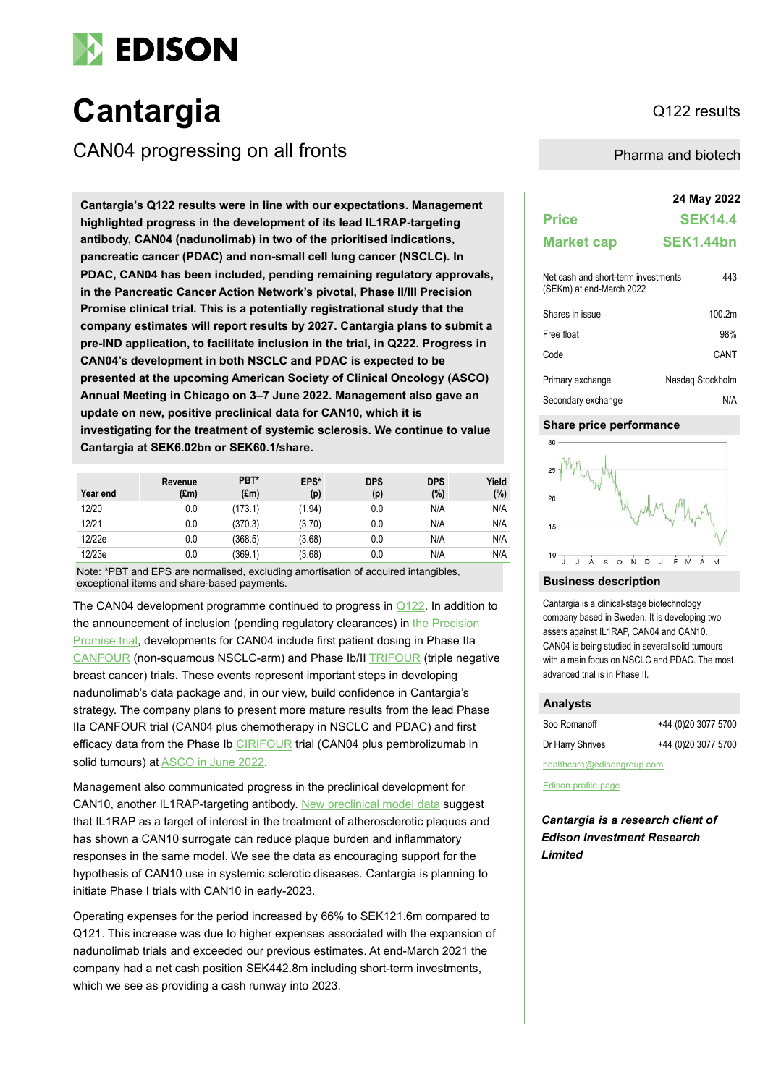

# Cantargia **Cantargia Cantargia**

CAN04 progressing on all fronts **Pharma and biotech** Pharma and biotech

**24 May 2022 Cantargia's Q122 results were in line with our expectations. Management highlighted progress in the development of its lead IL1RAP-targeting antibody, CAN04 (nadunolimab) in two of the prioritised indications, pancreatic cancer (PDAC) and non-small cell lung cancer (NSCLC). In PDAC, CAN04 has been included, pending remaining regulatory approvals, in the Pancreatic Cancer Action Network's pivotal, Phase II/III Precision Promise clinical trial. This is a potentially registrational study that the company estimates will report results by 2027. Cantargia plans to submit a pre-IND application, to facilitate inclusion in the trial, in Q222. Progress in CAN04's development in both NSCLC and PDAC is expected to be presented at the upcoming American Society of Clinical Oncology (ASCO) Annual Meeting in Chicago on 3–7 June 2022. Management also gave an update on new, positive preclinical data for CAN10, which it is investigating for the treatment of systemic sclerosis. We continue to value Cantargia at SEK6.02bn or SEK60.1/share.**

| Year end | Revenue<br>$(\text{Em})$ | PBT*<br>$(\text{Em})$ | EPS*<br>(p) | <b>DPS</b><br>(p) | <b>DPS</b><br>(%) | Yield<br>(%) |
|----------|--------------------------|-----------------------|-------------|-------------------|-------------------|--------------|
| 12/20    | 0.0                      | (173.1)               | (1.94)      | 0.0               | N/A               | N/A          |
| 12/21    | 0.0                      | (370.3)               | (3.70)      | 0.0               | N/A               | N/A          |
| 12/22e   | 0.0                      | (368.5)               | (3.68)      | 0.0               | N/A               | N/A          |
| 12/23e   | 0.0                      | (369.1)               | (3.68)      | 0.0               | N/A               | N/A          |

Note: \*PBT and EPS are normalised, excluding amortisation of acquired intangibles, exceptional items and share-based payments.

The CAN04 development programme continued to progress in [Q122.](https://cantargia.com/assets/uploads/Interim-report-Q1-2022-final.pdf) In addition to the announcement of inclusion (pending regulatory clearances) in the Precision [Promise trial,](https://clinicaltrials.gov/ct2/show/NCT04229004) developments for CAN04 include first patient dosing in Phase IIa [CANFOUR](https://clinicaltrials.gov/ct2/show/NCT03267316) (non-squamous NSCLC-arm) and Phase Ib/II [TRIFOUR](https://clinicaltrials.gov/ct2/show/NCT05181462) (triple negative breast cancer) trials**.** These events represent important steps in developing nadunolimab's data package and, in our view, build confidence in Cantargia's strategy. The company plans to present more mature results from the lead Phase IIa CANFOUR trial (CAN04 plus chemotherapy in NSCLC and PDAC) and first efficacy data from the Phase Ib [CIRIFOUR](https://clinicaltrials.gov/ct2/show/NCT04452214) trial (CAN04 plus pembrolizumab in solid tumours) a[t ASCO in June 2022.](https://cantargia.com/en/press-releases/cantargia-to-present-new-clinical-data-on-lead-il1rap-antibody-nadunolimab-over-three-sessions-at-asco-2022)

Management also communicated progress in the preclinical development for CAN10, another IL1RAP-targeting antibody. New [preclinical model](https://cantargia.com/en/press-releases/cantargia-reports-positive-preclinical-effects-in-atherosclerosis-demonstrating-potential-of-can10-in-cardiovascular-disease) data suggest that IL1RAP as a target of interest in the treatment of atherosclerotic plaques and has shown a CAN10 surrogate can reduce plaque burden and inflammatory responses in the same model. We see the data as encouraging support for the hypothesis of CAN10 use in systemic sclerotic diseases. Cantargia is planning to initiate Phase I trials with CAN10 in early-2023.

Operating expenses for the period increased by 66% to SEK121.6m compared to Q121. This increase was due to higher expenses associated with the expansion of nadunolimab trials and exceeded our previous estimates. At end-March 2021 the company had a net cash position SEK442.8m including short-term investments, which we see as providing a cash runway into 2023.

| <b>Price</b>                                                    | <b>SEK14.4</b>     |
|-----------------------------------------------------------------|--------------------|
| <b>Market cap</b>                                               | SEK1.44bn          |
| Net cash and short-term investments<br>(SEKm) at end-March 2022 | 443                |
| Shares in issue                                                 | 100.2 <sub>m</sub> |
| Free float                                                      | 98%                |
| Code                                                            | CANT               |
| Primary exchange                                                | Nasdag Stockholm   |
| Secondary exchange                                              | N/A                |

### **Share price performance**



#### **Business description**

Cantargia is a clinical-stage biotechnology company based in Sweden. It is developing two assets against IL1RAP, CAN04 and CAN10. CAN04 is being studied in several solid tumours with a main focus on NSCLC and PDAC. The most advanced trial is in Phase II.

## **Analysts** Soo Romanoff +44 (0)20 3077 5700 Dr Harry Shrives +44 (0)20 3077 5700

healthcare@edisongroup.com

[Edison profile page](https://www.edisongroup.com/company/cantargia/)

*Cantargia is a research client of Edison Investment Research Limited*